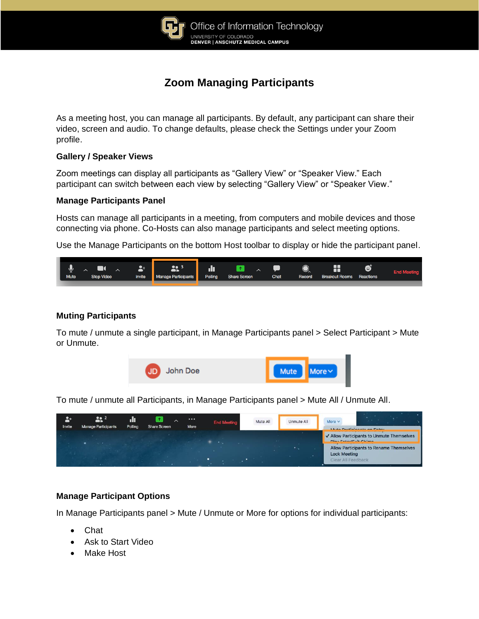

# **Zoom Managing Participants**

As a meeting host, you can manage all participants. By default, any participant can share their video, screen and audio. To change defaults, please check the Settings under your Zoom profile.

### **Gallery / Speaker Views**

Zoom meetings can display all participants as "Gallery View" or "Speaker View." Each participant can switch between each view by selecting "Gallery View" or "Speaker View."

### **Manage Participants Panel**

Hosts can manage all participants in a meeting, from computers and mobile devices and those connecting via phone. Co-Hosts can also manage participants and select meeting options.

Use the Manage Participants on the bottom Host toolbar to display or hide the participant panel.



## **Muting Participants**

To mute / unmute a single participant, in Manage Participants panel > Select Participant > Mute or Unmute.



To mute / unmute all Participants, in Manage Participants panel > Mute All / Unmute All.



## **Manage Participant Options**

In Manage Participants panel > Mute / Unmute or More for options for individual participants:

- Chat
- Ask to Start Video
- Make Host